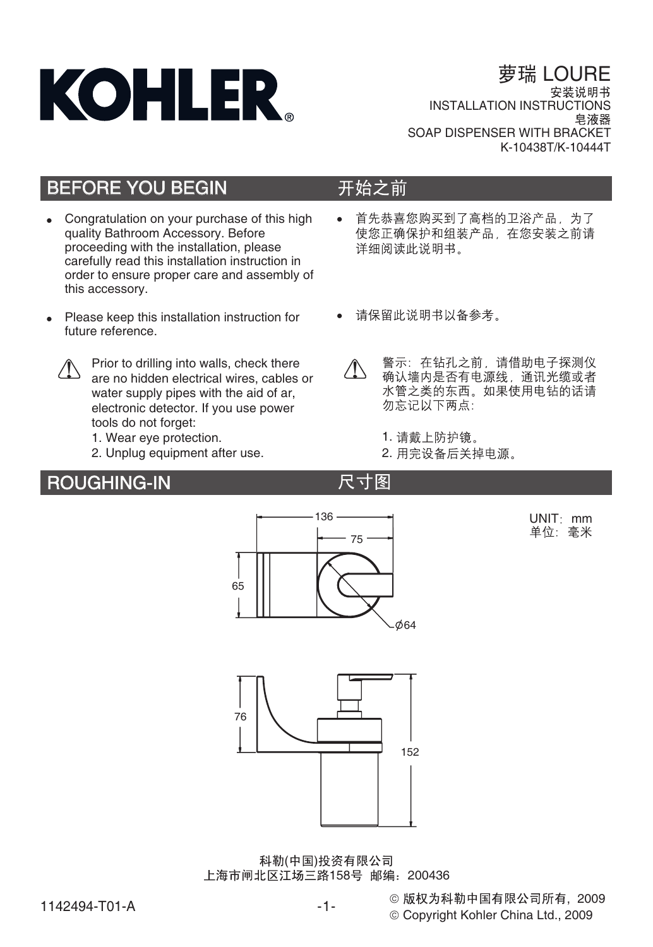

# 萝瑞 LOURE

**INSTALLATION INSTRUCTIONS** SOAP DISPENSER WITH BRACKET K-10438T/K-10444T

# BEFORE YOU BEGIN

- Congratulation on your purchase of this high quality Bathroom Accessory. Before proceeding with the installation, please carefully read this installation instruction in order to ensure proper care and assembly of this accessory.
- Please keep this installation instruction for future reference.



Prior to drilling into walls, check there are no hidden electrical wires, cables or water supply pipes with the aid of ar, electronic detector. If you use power tools do not forget:

- 1. Wear eye protection.
- 2. Unplug equipment after use.

## ROUGHING-IN

### 开始之前

尺寸图

- -首先恭喜您购买到了高档的卫浴产品,为了 使您正确保护和组装产品,在您安装之前请 详细阅读此说明书。
- -
- 警示: 在钻孔之前, 请借助电子探测仪 Æ 确认墙内是否有电源线, 通讯光缆或者 水管之类的东西。如果使用电钻的话请 勿忘记以下两点:
	- 1. 请戴上防护镜。
	- 2. 用完设备后关掉电源。



科勒(中国)投资有限公司 上海市闸北区江场三路158号 邮编:200436

1142494-T01-A

-1- -

© Copyright Kohler China Ltd., 2009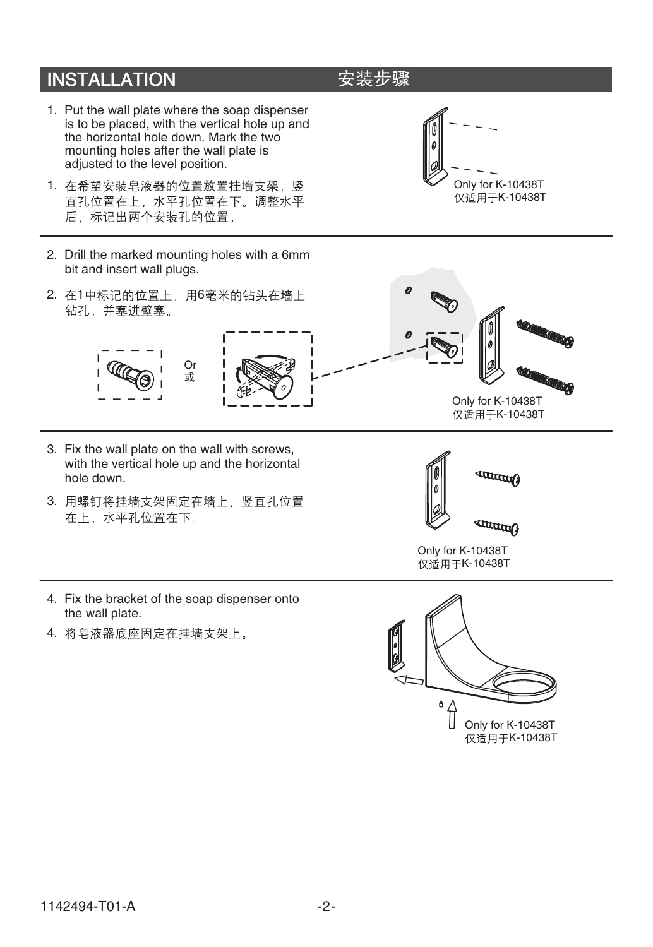# **INSTALLATION**

- 1. Put the wall plate where the soap dispenser is to be placed, with the vertical hole up and the horizontal hole down. Mark the two mounting holes after the wall plate is adjusted to the level position.
- 1. 在希望安装皂液器的位置放置挂墙支架, 竖 直孔位置在上, 水平孔位置在下。调整水平 后, 标记出两个安装孔的位置。
- 2. Drill the marked mounting holes with a 6mm bit and insert wall plugs.
- 2. 在1中标记的位置上, 用6毫米的钻头在墙上 钻孔, 并塞进壁塞。







- 3. Fix the wall plate on the wall with screws, with the vertical hole up and the horizontal hole down.
- 3. 用螺钉将挂墙支架固定在墙上, 竖直孔位置 在上,水平孔位置在下。



Only for K-10438T 仅适用于K-10438T

Only for K-10438T 仅适用于K-10438T

- 4. Fix the bracket of the soap dispenser onto the wall plate.
- 4. 将皂液器底座固定在挂墙支架上。



# 安装步骤